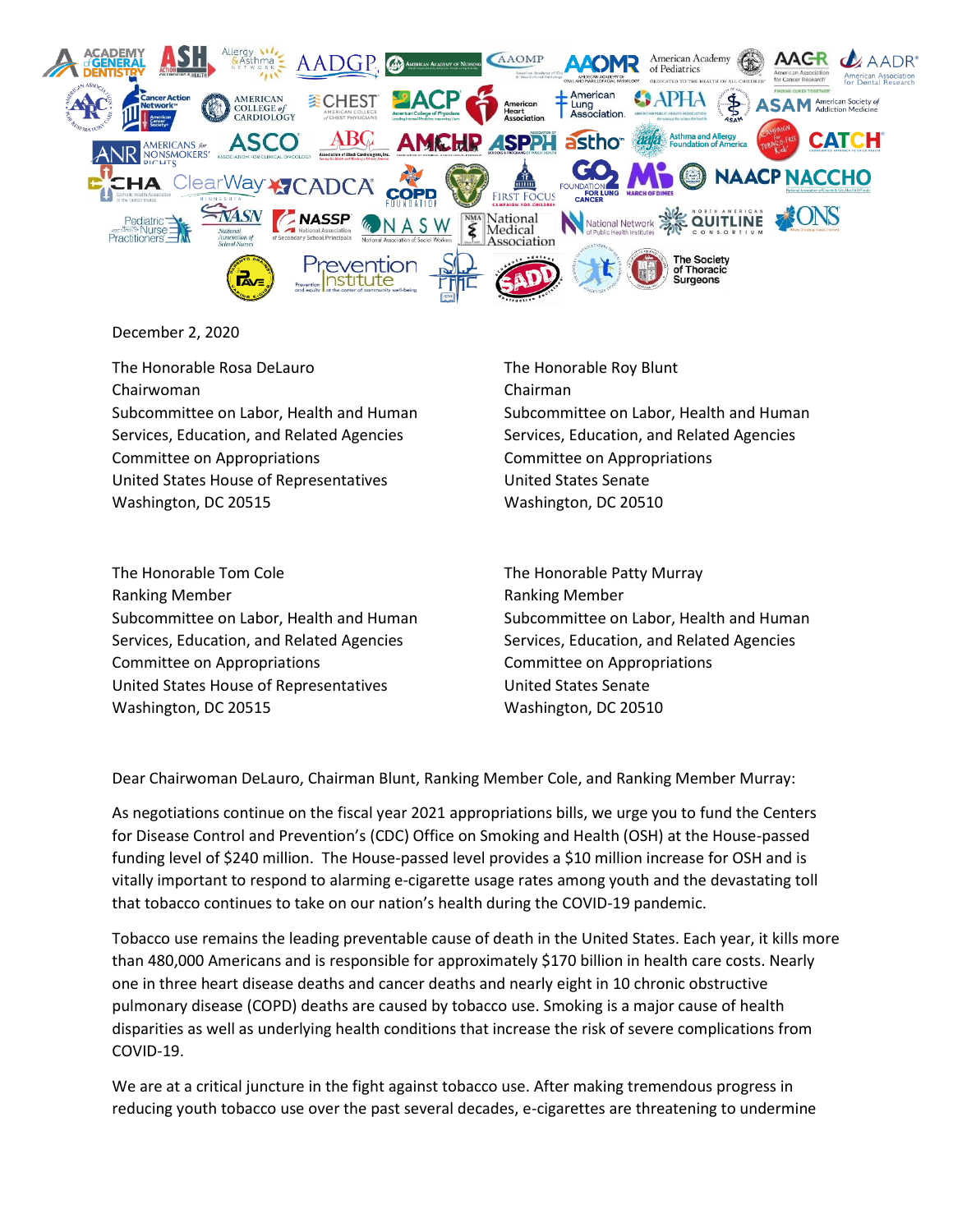

## December 2, 2020

The Honorable Rosa DeLauro The Honorable Roy Blunt Chairwoman Chairman Subcommittee on Labor, Health and Human Subcommittee on Labor, Health and Human Services, Education, and Related Agencies Services, Education, and Related Agencies Committee on Appropriations Committee on Appropriations United States House of Representatives **United States Senate** Washington, DC 20515 Washington, DC 20510

The Honorable Tom Cole The Honorable Patty Murray Ranking Member Ranking Member Subcommittee on Labor, Health and Human Subcommittee on Labor, Health and Human Services, Education, and Related Agencies Services, Education, and Related Agencies Committee on Appropriations Committee on Appropriations United States House of Representatives **United States Senate** Washington, DC 20515 Washington, DC 20510

Dear Chairwoman DeLauro, Chairman Blunt, Ranking Member Cole, and Ranking Member Murray:

As negotiations continue on the fiscal year 2021 appropriations bills, we urge you to fund the Centers for Disease Control and Prevention's (CDC) Office on Smoking and Health (OSH) at the House-passed funding level of \$240 million. The House-passed level provides a \$10 million increase for OSH and is vitally important to respond to alarming e-cigarette usage rates among youth and the devastating toll that tobacco continues to take on our nation's health during the COVID-19 pandemic.

Tobacco use remains the leading preventable cause of death in the United States. Each year, it kills more than 480,000 Americans and is responsible for approximately \$170 billion in health care costs. Nearly one in three heart disease deaths and cancer deaths and nearly eight in 10 chronic obstructive pulmonary disease (COPD) deaths are caused by tobacco use. Smoking is a major cause of health disparities as well as underlying health conditions that increase the risk of severe complications from COVID-19.

We are at a critical juncture in the fight against tobacco use. After making tremendous progress in reducing youth tobacco use over the past several decades, e-cigarettes are threatening to undermine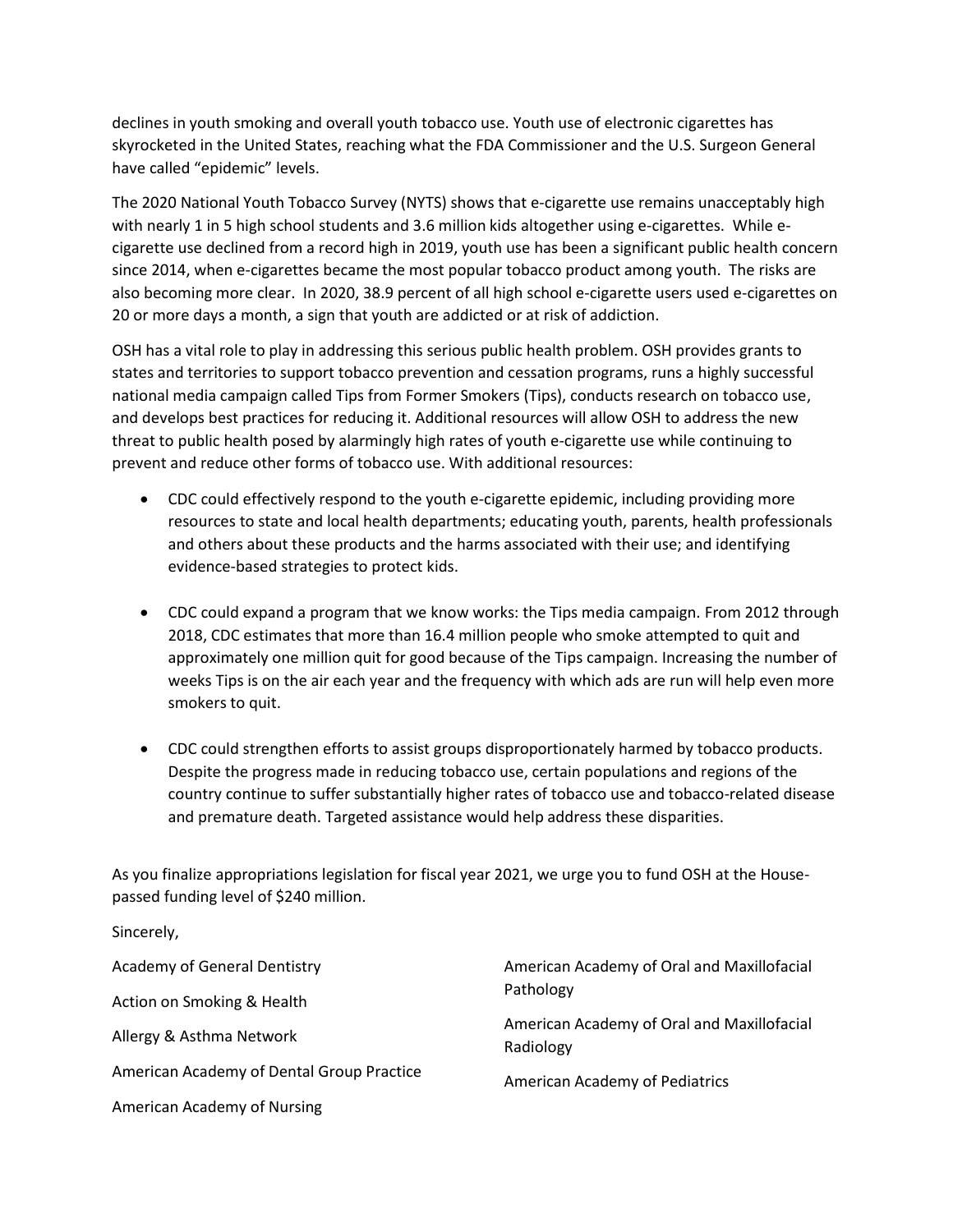declines in youth smoking and overall youth tobacco use. Youth use of electronic cigarettes has skyrocketed in the United States, reaching what the FDA Commissioner and the U.S. Surgeon General have called "epidemic" levels.

The 2020 National Youth Tobacco Survey (NYTS) shows that e-cigarette use remains unacceptably high with nearly 1 in 5 high school students and 3.6 million kids altogether using e-cigarettes. While ecigarette use declined from a record high in 2019, youth use has been a significant public health concern since 2014, when e-cigarettes became the most popular tobacco product among youth. The risks are also becoming more clear. In 2020, 38.9 percent of all high school e-cigarette users used e-cigarettes on 20 or more days a month, a sign that youth are addicted or at risk of addiction.

OSH has a vital role to play in addressing this serious public health problem. OSH provides grants to states and territories to support tobacco prevention and cessation programs, runs a highly successful national media campaign called Tips from Former Smokers (Tips), conducts research on tobacco use, and develops best practices for reducing it. Additional resources will allow OSH to address the new threat to public health posed by alarmingly high rates of youth e-cigarette use while continuing to prevent and reduce other forms of tobacco use. With additional resources:

- CDC could effectively respond to the youth e-cigarette epidemic, including providing more resources to state and local health departments; educating youth, parents, health professionals and others about these products and the harms associated with their use; and identifying evidence-based strategies to protect kids.
- CDC could expand a program that we know works: the Tips media campaign. From 2012 through 2018, CDC estimates that more than 16.4 million people who smoke attempted to quit and approximately one million quit for good because of the Tips campaign. Increasing the number of weeks Tips is on the air each year and the frequency with which ads are run will help even more smokers to quit.
- CDC could strengthen efforts to assist groups disproportionately harmed by tobacco products. Despite the progress made in reducing tobacco use, certain populations and regions of the country continue to suffer substantially higher rates of tobacco use and tobacco-related disease and premature death. Targeted assistance would help address these disparities.

As you finalize appropriations legislation for fiscal year 2021, we urge you to fund OSH at the Housepassed funding level of \$240 million.

Sincerely,

| Academy of General Dentistry              | American Academy of Oral and Maxillofacial              |
|-------------------------------------------|---------------------------------------------------------|
| Action on Smoking & Health                | Pathology                                               |
| Allergy & Asthma Network                  | American Academy of Oral and Maxillofacial<br>Radiology |
| American Academy of Dental Group Practice | <b>American Academy of Pediatrics</b>                   |
| American Academy of Nursing               |                                                         |